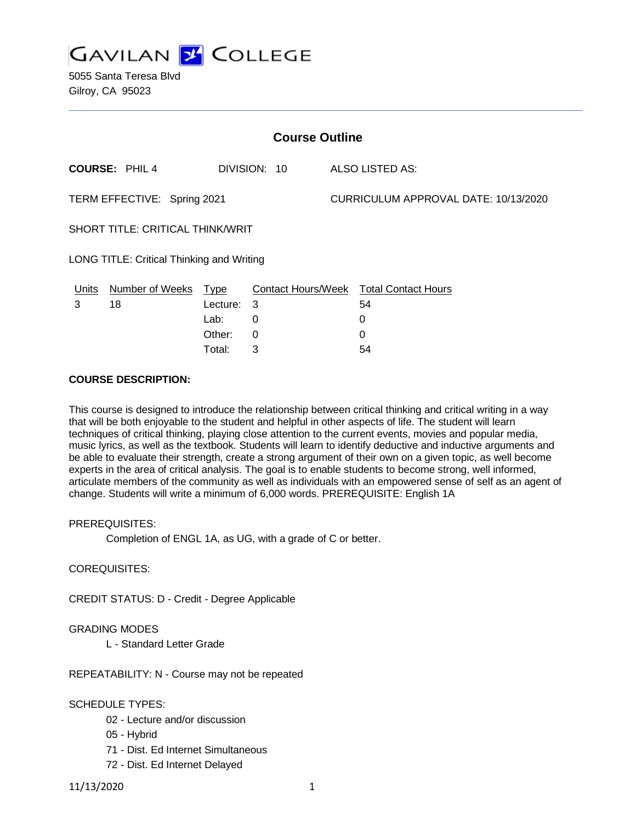

| <b>Course Outline</b>                     |                      |          |              |  |                                        |  |
|-------------------------------------------|----------------------|----------|--------------|--|----------------------------------------|--|
|                                           | <b>COURSE: PHIL4</b> |          | DIVISION: 10 |  | ALSO LISTED AS:                        |  |
| TERM EFFECTIVE: Spring 2021               |                      |          |              |  | CURRICULUM APPROVAL DATE: 10/13/2020   |  |
| SHORT TITLE: CRITICAL THINK/WRIT          |                      |          |              |  |                                        |  |
| LONG TITLE: Critical Thinking and Writing |                      |          |              |  |                                        |  |
| Units                                     | Number of Weeks Type |          |              |  | Contact Hours/Week Total Contact Hours |  |
| 3                                         | 18                   | Lecture: | -3           |  | 54                                     |  |
|                                           |                      | Lab:     | 0            |  | 0                                      |  |
|                                           |                      | Other:   | 0            |  | 0                                      |  |

Total: 3 54

# **COURSE DESCRIPTION:**

This course is designed to introduce the relationship between critical thinking and critical writing in a way that will be both enjoyable to the student and helpful in other aspects of life. The student will learn techniques of critical thinking, playing close attention to the current events, movies and popular media, music lyrics, as well as the textbook. Students will learn to identify deductive and inductive arguments and be able to evaluate their strength, create a strong argument of their own on a given topic, as well become experts in the area of critical analysis. The goal is to enable students to become strong, well informed, articulate members of the community as well as individuals with an empowered sense of self as an agent of change. Students will write a minimum of 6,000 words. PREREQUISITE: English 1A

#### PREREQUISITES:

Completion of ENGL 1A, as UG, with a grade of C or better.

# COREQUISITES:

CREDIT STATUS: D - Credit - Degree Applicable

#### GRADING MODES

L - Standard Letter Grade

REPEATABILITY: N - Course may not be repeated

SCHEDULE TYPES:

- 02 Lecture and/or discussion
- 05 Hybrid
- 71 Dist. Ed Internet Simultaneous
- 72 Dist. Ed Internet Delayed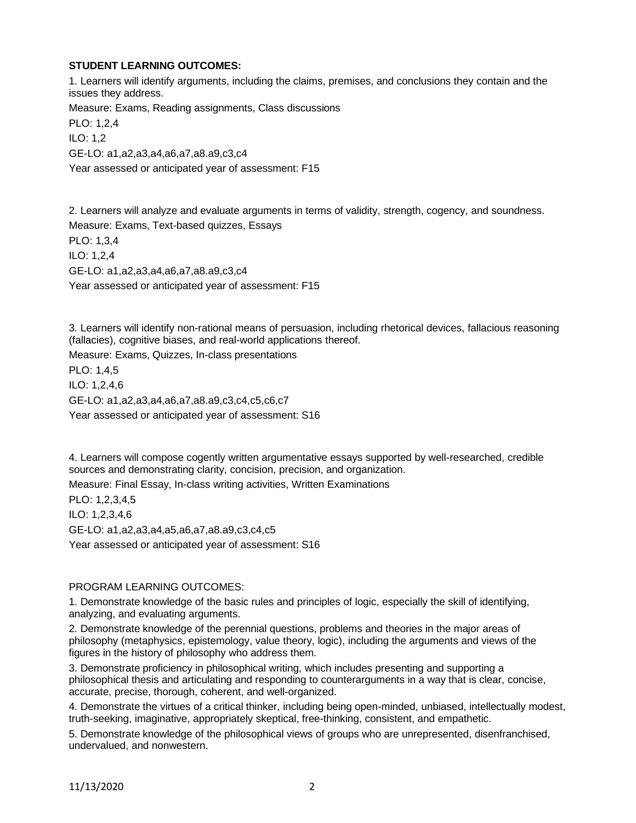# **STUDENT LEARNING OUTCOMES:**

1. Learners will identify arguments, including the claims, premises, and conclusions they contain and the issues they address. Measure: Exams, Reading assignments, Class discussions

PLO: 1,2,4 ILO: 1,2 GE-LO: a1,a2,a3,a4,a6,a7,a8.a9,c3,c4

Year assessed or anticipated year of assessment: F15

2. Learners will analyze and evaluate arguments in terms of validity, strength, cogency, and soundness. Measure: Exams, Text-based quizzes, Essays PLO: 1,3,4 ILO: 1,2,4 GE-LO: a1,a2,a3,a4,a6,a7,a8.a9,c3,c4 Year assessed or anticipated year of assessment: F15

3. Learners will identify non-rational means of persuasion, including rhetorical devices, fallacious reasoning (fallacies), cognitive biases, and real-world applications thereof.

Measure: Exams, Quizzes, In-class presentations

PLO: 1,4,5 ILO: 1,2,4,6 GE-LO: a1,a2,a3,a4,a6,a7,a8.a9,c3,c4,c5,c6,c7 Year assessed or anticipated year of assessment: S16

4. Learners will compose cogently written argumentative essays supported by well-researched, credible sources and demonstrating clarity, concision, precision, and organization.

Measure: Final Essay, In-class writing activities, Written Examinations

PLO: 1,2,3,4,5 ILO: 1,2,3,4,6 GE-LO: a1,a2,a3,a4,a5,a6,a7,a8.a9,c3,c4,c5 Year assessed or anticipated year of assessment: S16

# PROGRAM LEARNING OUTCOMES:

1. Demonstrate knowledge of the basic rules and principles of logic, especially the skill of identifying, analyzing, and evaluating arguments.

2. Demonstrate knowledge of the perennial questions, problems and theories in the major areas of philosophy (metaphysics, epistemology, value theory, logic), including the arguments and views of the figures in the history of philosophy who address them.

3. Demonstrate proficiency in philosophical writing, which includes presenting and supporting a philosophical thesis and articulating and responding to counterarguments in a way that is clear, concise, accurate, precise, thorough, coherent, and well-organized.

4. Demonstrate the virtues of a critical thinker, including being open-minded, unbiased, intellectually modest, truth-seeking, imaginative, appropriately skeptical, free-thinking, consistent, and empathetic.

5. Demonstrate knowledge of the philosophical views of groups who are unrepresented, disenfranchised, undervalued, and nonwestern.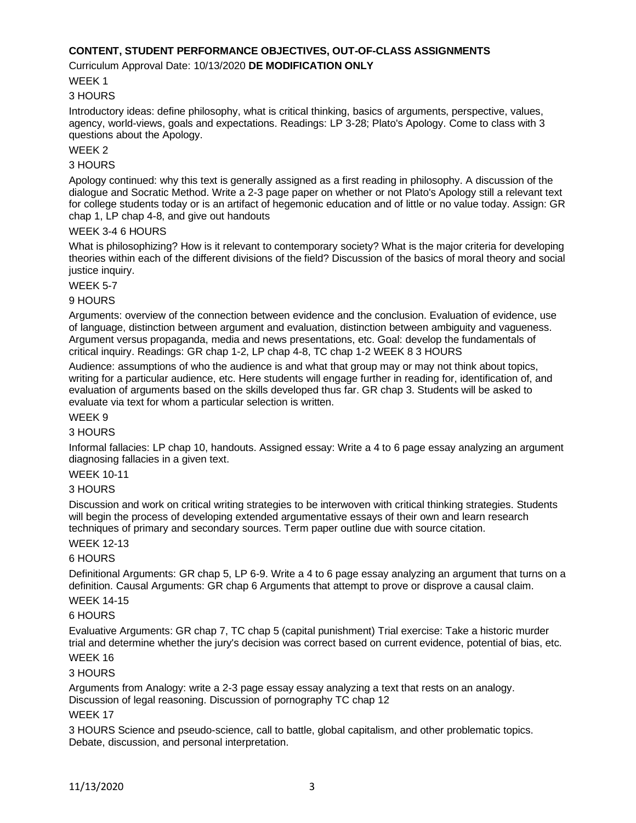### **CONTENT, STUDENT PERFORMANCE OBJECTIVES, OUT-OF-CLASS ASSIGNMENTS**

#### Curriculum Approval Date: 10/13/2020 **DE MODIFICATION ONLY**

WEEK 1

#### 3 HOURS

Introductory ideas: define philosophy, what is critical thinking, basics of arguments, perspective, values, agency, world-views, goals and expectations. Readings: LP 3-28; Plato's Apology. Come to class with 3 questions about the Apology.

### WEEK 2

#### 3 HOURS

Apology continued: why this text is generally assigned as a first reading in philosophy. A discussion of the dialogue and Socratic Method. Write a 2-3 page paper on whether or not Plato's Apology still a relevant text for college students today or is an artifact of hegemonic education and of little or no value today. Assign: GR chap 1, LP chap 4-8, and give out handouts

### WEEK 3-4 6 HOURS

What is philosophizing? How is it relevant to contemporary society? What is the major criteria for developing theories within each of the different divisions of the field? Discussion of the basics of moral theory and social justice inquiry.

#### WEEK 5-7

### 9 HOURS

Arguments: overview of the connection between evidence and the conclusion. Evaluation of evidence, use of language, distinction between argument and evaluation, distinction between ambiguity and vagueness. Argument versus propaganda, media and news presentations, etc. Goal: develop the fundamentals of critical inquiry. Readings: GR chap 1-2, LP chap 4-8, TC chap 1-2 WEEK 8 3 HOURS

Audience: assumptions of who the audience is and what that group may or may not think about topics, writing for a particular audience, etc. Here students will engage further in reading for, identification of, and evaluation of arguments based on the skills developed thus far. GR chap 3. Students will be asked to evaluate via text for whom a particular selection is written.

### WEEK 9

#### 3 HOURS

Informal fallacies: LP chap 10, handouts. Assigned essay: Write a 4 to 6 page essay analyzing an argument diagnosing fallacies in a given text.

#### WEEK 10-11

#### 3 HOURS

Discussion and work on critical writing strategies to be interwoven with critical thinking strategies. Students will begin the process of developing extended argumentative essays of their own and learn research techniques of primary and secondary sources. Term paper outline due with source citation.

#### WEEK 12-13

# 6 HOURS

Definitional Arguments: GR chap 5, LP 6-9. Write a 4 to 6 page essay analyzing an argument that turns on a definition. Causal Arguments: GR chap 6 Arguments that attempt to prove or disprove a causal claim.

# WEEK 14-15

#### 6 HOURS

Evaluative Arguments: GR chap 7, TC chap 5 (capital punishment) Trial exercise: Take a historic murder trial and determine whether the jury's decision was correct based on current evidence, potential of bias, etc.

# WEEK 16

#### 3 HOURS

Arguments from Analogy: write a 2-3 page essay essay analyzing a text that rests on an analogy. Discussion of legal reasoning. Discussion of pornography TC chap 12

#### WEEK 17

3 HOURS Science and pseudo-science, call to battle, global capitalism, and other problematic topics. Debate, discussion, and personal interpretation.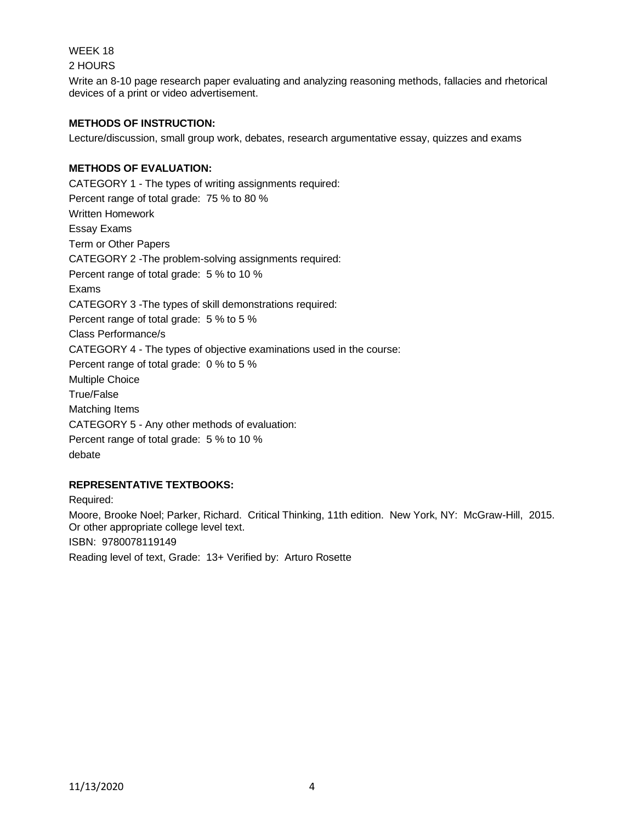WEEK 18

2 HOURS

Write an 8-10 page research paper evaluating and analyzing reasoning methods, fallacies and rhetorical devices of a print or video advertisement.

# **METHODS OF INSTRUCTION:**

Lecture/discussion, small group work, debates, research argumentative essay, quizzes and exams

# **METHODS OF EVALUATION:**

CATEGORY 1 - The types of writing assignments required: Percent range of total grade: 75 % to 80 % Written Homework Essay Exams Term or Other Papers CATEGORY 2 -The problem-solving assignments required: Percent range of total grade: 5 % to 10 % Exams CATEGORY 3 -The types of skill demonstrations required: Percent range of total grade: 5 % to 5 % Class Performance/s CATEGORY 4 - The types of objective examinations used in the course: Percent range of total grade: 0 % to 5 % Multiple Choice True/False Matching Items CATEGORY 5 - Any other methods of evaluation: Percent range of total grade: 5 % to 10 % debate

# **REPRESENTATIVE TEXTBOOKS:**

Required: Moore, Brooke Noel; Parker, Richard. Critical Thinking, 11th edition. New York, NY: McGraw-Hill, 2015. Or other appropriate college level text. ISBN: 9780078119149 Reading level of text, Grade: 13+ Verified by: Arturo Rosette